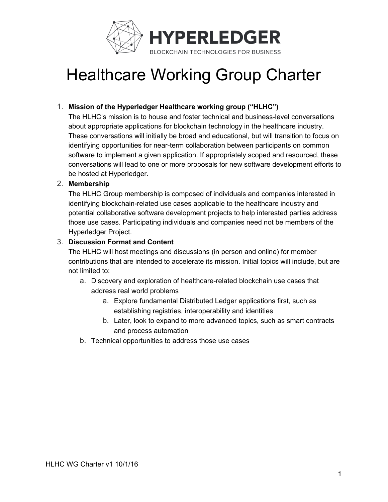

## Healthcare Working Group Charter

### 1. **Mission of the Hyperledger Healthcare working group ("HLHC")**

The HLHC's mission is to house and foster technical and business-level conversations about appropriate applications for blockchain technology in the healthcare industry. These conversations will initially be broad and educational, but will transition to focus on identifying opportunities for near-term collaboration between participants on common software to implement a given application. If appropriately scoped and resourced, these conversations will lead to one or more proposals for new software development efforts to be hosted at Hyperledger.

#### 2. **Membership**

The HLHC Group membership is composed of individuals and companies interested in identifying blockchain-related use cases applicable to the healthcare industry and potential collaborative software development projects to help interested parties address those use cases. Participating individuals and companies need not be members of the Hyperledger Project.

#### 3. **Discussion Format and Content**

The HLHC will host meetings and discussions (in person and online) for member contributions that are intended to accelerate its mission. Initial topics will include, but are not limited to:

- a. Discovery and exploration of healthcare-related blockchain use cases that address real world problems
	- a. Explore fundamental Distributed Ledger applications first, such as establishing registries, interoperability and identities
	- b. Later, look to expand to more advanced topics, such as smart contracts and process automation
- b. Technical opportunities to address those use cases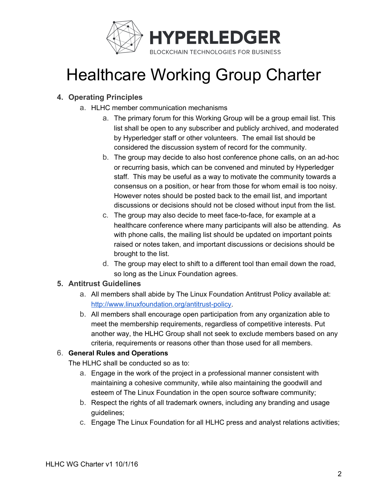

## Healthcare Working Group Charter

### **4. Operating Principles**

- a. HLHC member communication mechanisms
	- a. The primary forum for this Working Group will be a group email list. This list shall be open to any subscriber and publicly archived, and moderated by Hyperledger staff or other volunteers. The email list should be considered the discussion system of record for the community.
	- b. The group may decide to also host conference phone calls, on an ad-hoc or recurring basis, which can be convened and minuted by Hyperledger staff. This may be useful as a way to motivate the community towards a consensus on a position, or hear from those for whom email is too noisy. However notes should be posted back to the email list, and important discussions or decisions should not be closed without input from the list.
	- c. The group may also decide to meet face-to-face, for example at a healthcare conference where many participants will also be attending. As with phone calls, the mailing list should be updated on important points raised or notes taken, and important discussions or decisions should be brought to the list.
	- d. The group may elect to shift to a different tool than email down the road, so long as the Linux Foundation agrees.

### **5. Antitrust Guidelines**

- a. All members shall abide by The Linux Foundation Antitrust Policy available at: <http://www.linuxfoundation.org/antitrust-policy>.
- b. All members shall encourage open participation from any organization able to meet the membership requirements, regardless of competitive interests. Put another way, the HLHC Group shall not seek to exclude members based on any criteria, requirements or reasons other than those used for all members.

### 6. **General Rules and Operations**

The HLHC shall be conducted so as to:

- a. Engage in the work of the project in a professional manner consistent with maintaining a cohesive community, while also maintaining the goodwill and esteem of The Linux Foundation in the open source software community;
- b. Respect the rights of all trademark owners, including any branding and usage guidelines;
- c. Engage The Linux Foundation for all HLHC press and analyst relations activities;